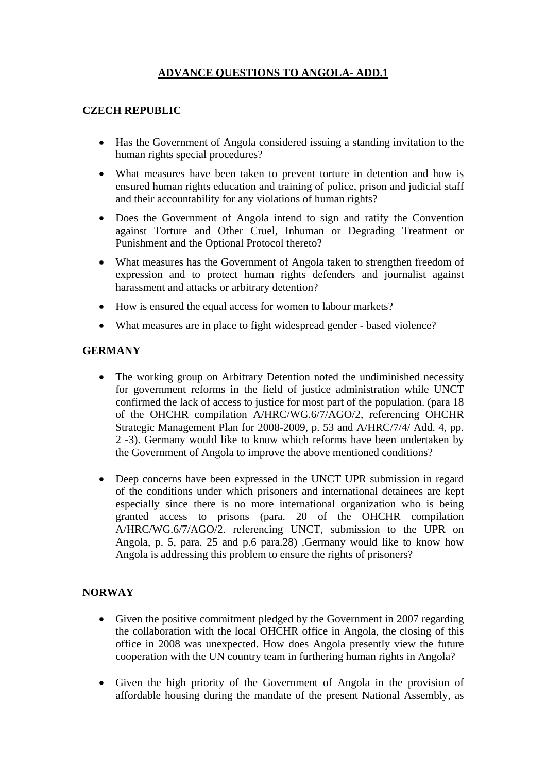## **ADVANCE QUESTIONS TO ANGOLA- ADD.1**

## **CZECH REPUBLIC**

- Has the Government of Angola considered issuing a standing invitation to the human rights special procedures?
- What measures have been taken to prevent torture in detention and how is ensured human rights education and training of police, prison and judicial staff and their accountability for any violations of human rights?
- Does the Government of Angola intend to sign and ratify the Convention against Torture and Other Cruel, Inhuman or Degrading Treatment or Punishment and the Optional Protocol thereto?
- What measures has the Government of Angola taken to strengthen freedom of expression and to protect human rights defenders and journalist against harassment and attacks or arbitrary detention?
- How is ensured the equal access for women to labour markets?
- What measures are in place to fight widespread gender based violence?

## **GERMANY**

- The working group on Arbitrary Detention noted the undiminished necessity for government reforms in the field of justice administration while UNCT confirmed the lack of access to justice for most part of the population. (para 18 of the OHCHR compilation A/HRC/WG.6/7/AGO/2, referencing OHCHR Strategic Management Plan for 2008-2009, p. 53 and A/HRC/7/4/ Add. 4, pp. 2 -3). Germany would like to know which reforms have been undertaken by the Government of Angola to improve the above mentioned conditions?
- Deep concerns have been expressed in the UNCT UPR submission in regard of the conditions under which prisoners and international detainees are kept especially since there is no more international organization who is being granted access to prisons (para. 20 of the OHCHR compilation A/HRC/WG.6/7/AGO/2. referencing UNCT, submission to the UPR on Angola, p. 5, para. 25 and p.6 para.28) .Germany would like to know how Angola is addressing this problem to ensure the rights of prisoners?

## **NORWAY**

- Given the positive commitment pledged by the Government in 2007 regarding the collaboration with the local OHCHR office in Angola, the closing of this office in 2008 was unexpected. How does Angola presently view the future cooperation with the UN country team in furthering human rights in Angola?
- Given the high priority of the Government of Angola in the provision of affordable housing during the mandate of the present National Assembly, as